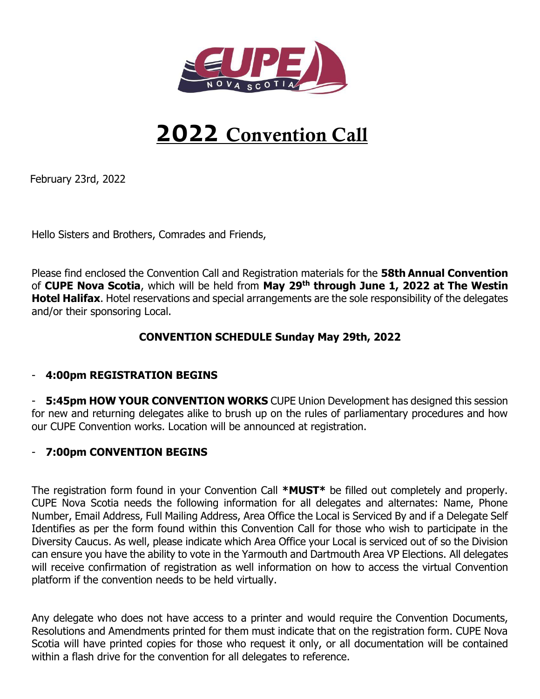

# **2022 Convention Call**

February 23rd, 2022

Hello Sisters and Brothers, Comrades and Friends,

Please find enclosed the Convention Call and Registration materials for the **58th Annual Convention**  of **CUPE Nova Scotia**, which will be held from **May 29th through June 1, 2022 at The Westin Hotel Halifax**. Hotel reservations and special arrangements are the sole responsibility of the delegates and/or their sponsoring Local.

### **CONVENTION SCHEDULE Sunday May 29th, 2022**

#### - **4:00pm REGISTRATION BEGINS**

- **5:45pm HOW YOUR CONVENTION WORKS** CUPE Union Development has designed this session for new and returning delegates alike to brush up on the rules of parliamentary procedures and how our CUPE Convention works. Location will be announced at registration.

#### - **7:00pm CONVENTION BEGINS**

The registration form found in your Convention Call **\*MUST\*** be filled out completely and properly. CUPE Nova Scotia needs the following information for all delegates and alternates: Name, Phone Number, Email Address, Full Mailing Address, Area Office the Local is Serviced By and if a Delegate Self Identifies as per the form found within this Convention Call for those who wish to participate in the Diversity Caucus. As well, please indicate which Area Office your Local is serviced out of so the Division can ensure you have the ability to vote in the Yarmouth and Dartmouth Area VP Elections. All delegates will receive confirmation of registration as well information on how to access the virtual Convention platform if the convention needs to be held virtually.

Any delegate who does not have access to a printer and would require the Convention Documents, Resolutions and Amendments printed for them must indicate that on the registration form. CUPE Nova Scotia will have printed copies for those who request it only, or all documentation will be contained within a flash drive for the convention for all delegates to reference.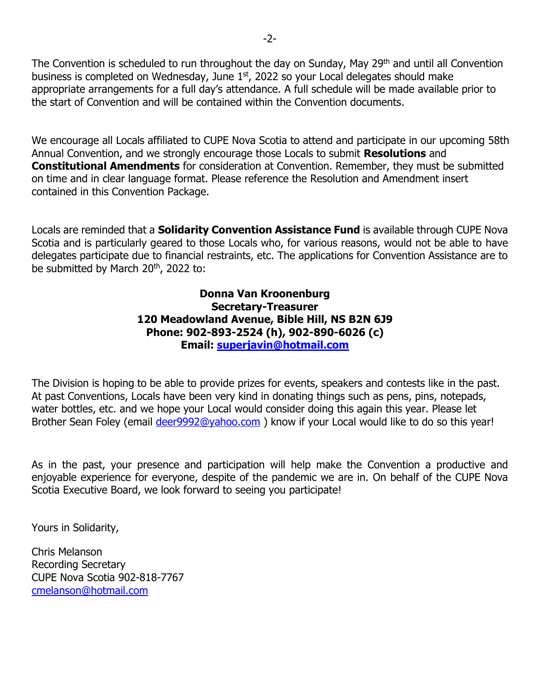The Convention is scheduled to run throughout the day on Sunday, May 29<sup>th</sup> and until all Convention business is completed on Wednesday, June  $1<sup>st</sup>$ , 2022 so your Local delegates should make appropriate arrangements for a full day's attendance. A full schedule will be made available prior to the start of Convention and will be contained within the Convention documents.

We encourage all Locals affiliated to CUPE Nova Scotia to attend and participate in our upcoming 58th Annual Convention, and we strongly encourage those Locals to submit **Resolutions** and **Constitutional Amendments** for consideration at Convention. Remember, they must be submitted on time and in clear language format. Please reference the Resolution and Amendment insert contained in this Convention Package.

Locals are reminded that a **Solidarity Convention Assistance Fund** is available through CUPE Nova Scotia and is particularly geared to those Locals who, for various reasons, would not be able to have delegates participate due to financial restraints, etc. The applications for Convention Assistance are to be submitted by March 20<sup>th</sup>, 2022 to:

#### **Donna Van Kroonenburg Secretary-Treasurer 120 Meadowland Avenue, Bible Hill, NS B2N 6J9 Phone: 902-893-2524 (h), 902-890-6026 (c) Email: [superjavin@hotmail.com](mailto:superjavin@hotmail.com)**

The Division is hoping to be able to provide prizes for events, speakers and contests like in the past. At past Conventions, Locals have been very kind in donating things such as pens, pins, notepads, water bottles, etc. and we hope your Local would consider doing this again this year. Please let Brother Sean Foley (email deer 9992@yahoo.com) know if your Local would like to do so this year!

As in the past, your presence and participation will help make the Convention a productive and enjoyable experience for everyone, despite of the pandemic we are in. On behalf of the CUPE Nova Scotia Executive Board, we look forward to seeing you participate!

Yours in Solidarity,

Chris Melanson Recording Secretary CUPE Nova Scotia 902-818-7767 [cmelanson@hotmail.com](mailto:cmelanson@hotmail.com)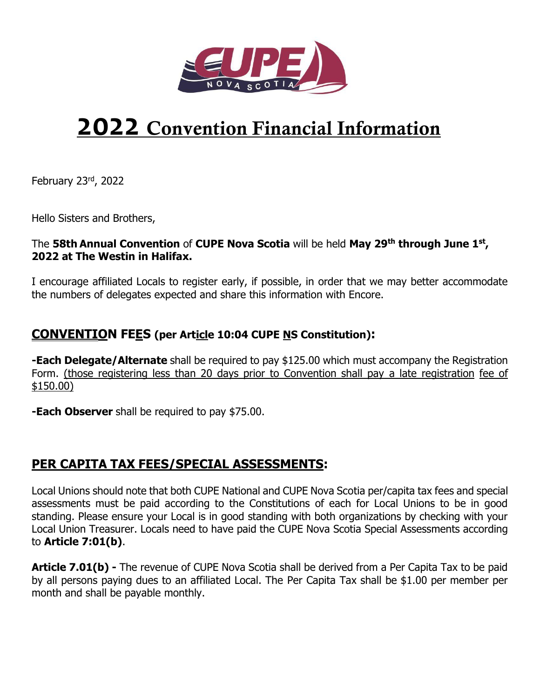

# **2022 Convention Financial Information**

February 23rd, 2022

Hello Sisters and Brothers,

### The **58th Annual Convention** of **CUPE Nova Scotia** will be held **May 29th through June 1st , 2022 at The Westin in Halifax.**

I encourage affiliated Locals to register early, if possible, in order that we may better accommodate the numbers of delegates expected and share this information with Encore.

## **CONVENTION FEES (per Article 10:04 CUPE NS Constitution):**

**-Each Delegate/Alternate** shall be required to pay \$125.00 which must accompany the Registration Form. (those registering less than 20 days prior to Convention shall pay a late registration fee of \$150.00)

**-Each Observer** shall be required to pay \$75.00.

## **PER CAPITA TAX FEES/SPECIAL ASSESSMENTS:**

Local Unions should note that both CUPE National and CUPE Nova Scotia per/capita tax fees and special assessments must be paid according to the Constitutions of each for Local Unions to be in good standing. Please ensure your Local is in good standing with both organizations by checking with your Local Union Treasurer. Locals need to have paid the CUPE Nova Scotia Special Assessments according to **Article 7:01(b)**.

**Article 7.01(b)** - The revenue of CUPE Nova Scotia shall be derived from a Per Capita Tax to be paid by all persons paying dues to an affiliated Local. The Per Capita Tax shall be \$1.00 per member per month and shall be payable monthly.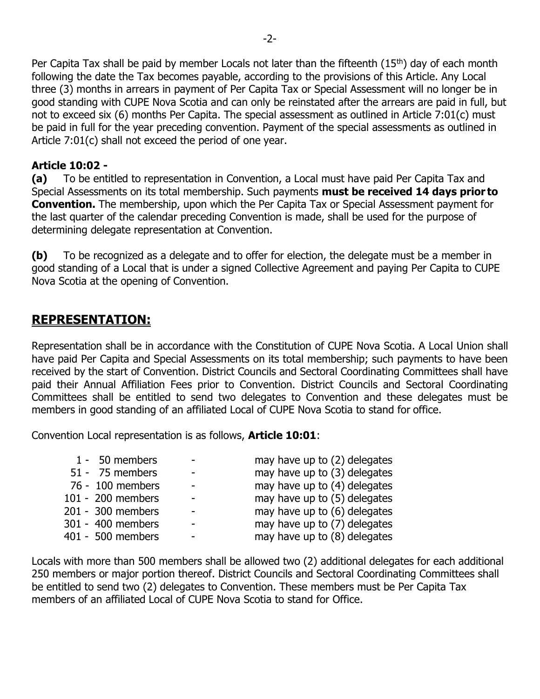Per Capita Tax shall be paid by member Locals not later than the fifteenth  $(15<sup>th</sup>)$  day of each month following the date the Tax becomes payable, according to the provisions of this Article. Any Local three (3) months in arrears in payment of Per Capita Tax or Special Assessment will no longer be in good standing with CUPE Nova Scotia and can only be reinstated after the arrears are paid in full, but not to exceed six (6) months Per Capita. The special assessment as outlined in Article 7:01(c) must be paid in full for the year preceding convention. Payment of the special assessments as outlined in Article 7:01(c) shall not exceed the period of one year.

### **Article 10:02 -**

**(a)** To be entitled to representation in Convention, a Local must have paid Per Capita Tax and Special Assessments on its total membership. Such payments **must be received 14 days prior to Convention.** The membership, upon which the Per Capita Tax or Special Assessment payment for the last quarter of the calendar preceding Convention is made, shall be used for the purpose of determining delegate representation at Convention.

**(b)** To be recognized as a delegate and to offer for election, the delegate must be a member in good standing of a Local that is under a signed Collective Agreement and paying Per Capita to CUPE Nova Scotia at the opening of Convention.

# **REPRESENTATION:**

Representation shall be in accordance with the Constitution of CUPE Nova Scotia. A Local Union shall have paid Per Capita and Special Assessments on its total membership; such payments to have been received by the start of Convention. District Councils and Sectoral Coordinating Committees shall have paid their Annual Affiliation Fees prior to Convention. District Councils and Sectoral Coordinating Committees shall be entitled to send two delegates to Convention and these delegates must be members in good standing of an affiliated Local of CUPE Nova Scotia to stand for office.

Convention Local representation is as follows, **Article 10:01**:

|                          | may have up to (2) delegates |
|--------------------------|------------------------------|
|                          | may have up to (3) delegates |
| $\overline{\phantom{a}}$ | may have up to (4) delegates |
|                          | may have up to (5) delegates |
|                          | may have up to (6) delegates |
|                          | may have up to (7) delegates |
| -                        | may have up to (8) delegates |
|                          |                              |

Locals with more than 500 members shall be allowed two (2) additional delegates for each additional 250 members or major portion thereof. District Councils and Sectoral Coordinating Committees shall be entitled to send two (2) delegates to Convention. These members must be Per Capita Tax members of an affiliated Local of CUPE Nova Scotia to stand for Office.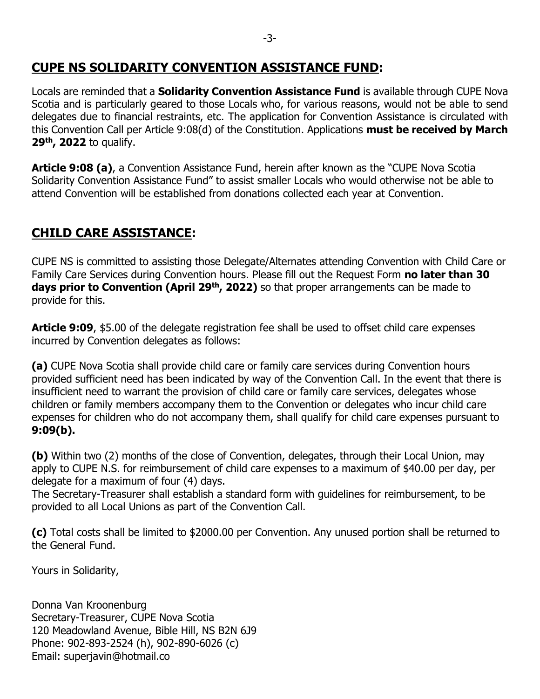## **CUPE NS SOLIDARITY CONVENTION ASSISTANCE FUND:**

Locals are reminded that a **Solidarity Convention Assistance Fund** is available through CUPE Nova Scotia and is particularly geared to those Locals who, for various reasons, would not be able to send delegates due to financial restraints, etc. The application for Convention Assistance is circulated with this Convention Call per Article 9:08(d) of the Constitution. Applications **must be received by March 29 th , 2022** to qualify.

**Article 9:08 (a)**, a Convention Assistance Fund, herein after known as the "CUPE Nova Scotia Solidarity Convention Assistance Fund" to assist smaller Locals who would otherwise not be able to attend Convention will be established from donations collected each year at Convention.

# **CHILD CARE ASSISTANCE:**

CUPE NS is committed to assisting those Delegate/Alternates attending Convention with Child Care or Family Care Services during Convention hours. Please fill out the Request Form **no later than 30 days prior to Convention (April 29th, 2022)** so that proper arrangements can be made to provide for this.

**Article 9:09**, \$5.00 of the delegate registration fee shall be used to offset child care expenses incurred by Convention delegates as follows:

**(a)** CUPE Nova Scotia shall provide child care or family care services during Convention hours provided sufficient need has been indicated by way of the Convention Call. In the event that there is insufficient need to warrant the provision of child care or family care services, delegates whose children or family members accompany them to the Convention or delegates who incur child care expenses for children who do not accompany them, shall qualify for child care expenses pursuant to **9:09(b).**

**(b)** Within two (2) months of the close of Convention, delegates, through their Local Union, may apply to CUPE N.S. for reimbursement of child care expenses to a maximum of \$40.00 per day, per delegate for a maximum of four (4) days.

The Secretary-Treasurer shall establish a standard form with guidelines for reimbursement, to be provided to all Local Unions as part of the Convention Call.

**(c)** Total costs shall be limited to \$2000.00 per Convention. Any unused portion shall be returned to the General Fund.

Yours in Solidarity,

Donna Van Kroonenburg Secretary-Treasurer, CUPE Nova Scotia 120 Meadowland Avenue, Bible Hill, NS B2N 6J9 Phone: 902-893-2524 (h), 902-890-6026 (c) Email: superjavin@hotmail.co